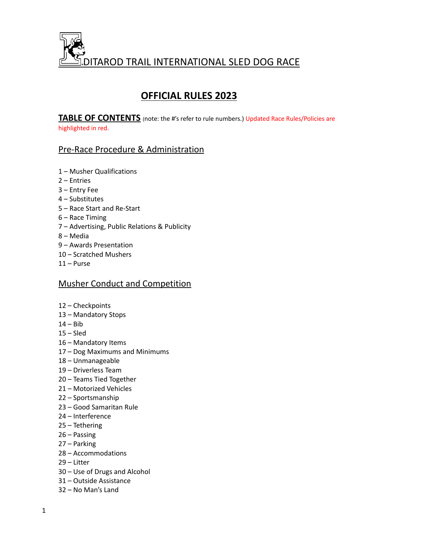

# **OFFICIAL RULES 2023**

**TABLE OF CONTENTS** (note: the #'s refer to rule numbers.) Updated Race Rules/Policies are highlighted in red.

# Pre-Race Procedure & Administration

- Musher Qualifications
- Entries
- Entry Fee
- Substitutes
- Race Start and Re-Start
- Race Timing
- Advertising, Public Relations & Publicity
- Media
- Awards Presentation
- Scratched Mushers
- Purse

# Musher Conduct and Competition

- Checkpoints
- Mandatory Stops
- Bib
- $15 S$ led
- Mandatory Items
- Dog Maximums and Minimums
- Unmanageable
- Driverless Team
- Teams Tied Together
- Motorized Vehicles
- Sportsmanship
- Good Samaritan Rule
- Interference
- Tethering
- Passing
- Parking
- Accommodations
- Litter
- Use of Drugs and Alcohol
- Outside Assistance
- No Man's Land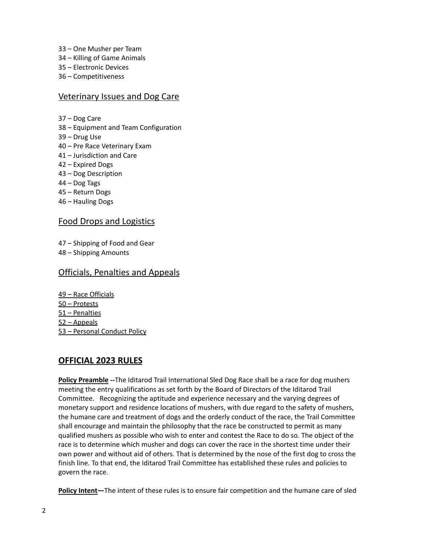- 33 One Musher per Team
- 34 Killing of Game Animals
- 35 Electronic Devices
- 36 Competitiveness

## Veterinary Issues and Dog Care

- 37 Dog Care
- 38 Equipment and Team Configuration
- 39 Drug Use
- 40 Pre Race Veterinary Exam
- 41 Jurisdiction and Care
- 42 Expired Dogs
- 43 Dog Description
- 44 Dog Tags
- 45 Return Dogs
- 46 Hauling Dogs

# Food Drops and Logistics

47 – Shipping of Food and Gear

48 – Shipping Amounts

# Officials, Penalties and Appeals

 – Race Officials – Protests – Penalties – Appeals – Personal Conduct Policy

# **OFFICIAL 2023 RULES**

**Policy Preamble --**The Iditarod Trail International Sled Dog Race shall be a race for dog mushers meeting the entry qualifications as set forth by the Board of Directors of the Iditarod Trail Committee. Recognizing the aptitude and experience necessary and the varying degrees of monetary support and residence locations of mushers, with due regard to the safety of mushers, the humane care and treatment of dogs and the orderly conduct of the race, the Trail Committee shall encourage and maintain the philosophy that the race be constructed to permit as many qualified mushers as possible who wish to enter and contest the Race to do so. The object of the race is to determine which musher and dogs can cover the race in the shortest time under their own power and without aid of others. That is determined by the nose of the first dog to cross the finish line. To that end, the Iditarod Trail Committee has established these rules and policies to govern the race.

**Policy Intent—**The intent of these rules is to ensure fair competition and the humane care of sled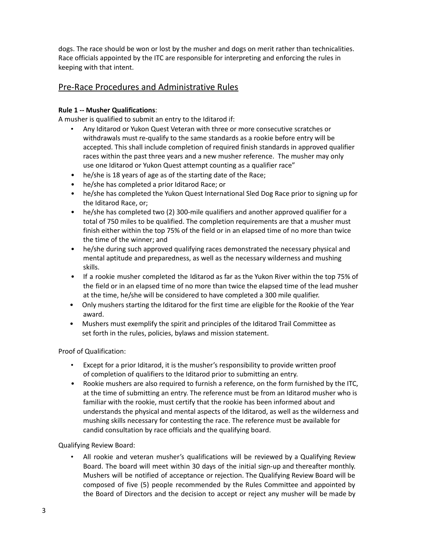dogs. The race should be won or lost by the musher and dogs on merit rather than technicalities. Race officials appointed by the ITC are responsible for interpreting and enforcing the rules in keeping with that intent.

# Pre-Race Procedures and Administrative Rules

### **Rule 1 -- Musher Qualifications**:

A musher is qualified to submit an entry to the Iditarod if:

- Any Iditarod or Yukon Quest Veteran with three or more consecutive scratches or withdrawals must re-qualify to the same standards as a rookie before entry will be accepted. This shall include completion of required finish standards in approved qualifier races within the past three years and a new musher reference. The musher may only use one Iditarod or Yukon Quest attempt counting as a qualifier race"
- he/she is 18 years of age as of the starting date of the Race;
- he/she has completed a prior Iditarod Race; or
- he/she has completed the Yukon Quest International Sled Dog Race prior to signing up for the Iditarod Race, or;
- he/she has completed two (2) 300-mile qualifiers and another approved qualifier for a total of 750 miles to be qualified. The completion requirements are that a musher must finish either within the top 75% of the field or in an elapsed time of no more than twice the time of the winner; and
- he/she during such approved qualifying races demonstrated the necessary physical and mental aptitude and preparedness, as well as the necessary wilderness and mushing skills.
- If a rookie musher completed the Iditarod as far as the Yukon River within the top 75% of the field or in an elapsed time of no more than twice the elapsed time of the lead musher at the time, he/she will be considered to have completed a 300 mile qualifier.
- Only mushers starting the Iditarod for the first time are eligible for the Rookie of the Year award.
- Mushers must exemplify the spirit and principles of the Iditarod Trail Committee as set forth in the rules, policies, bylaws and mission statement.

Proof of Qualification:

- Except for a prior Iditarod, it is the musher's responsibility to provide written proof of completion of qualifiers to the Iditarod prior to submitting an entry.
- Rookie mushers are also required to furnish a reference, on the form furnished by the ITC, at the time of submitting an entry. The reference must be from an Iditarod musher who is familiar with the rookie, must certify that the rookie has been informed about and understands the physical and mental aspects of the Iditarod, as well as the wilderness and mushing skills necessary for contesting the race. The reference must be available for candid consultation by race officials and the qualifying board.

Qualifying Review Board:

• All rookie and veteran musher's qualifications will be reviewed by a Qualifying Review Board. The board will meet within 30 days of the initial sign-up and thereafter monthly. Mushers will be notified of acceptance or rejection. The Qualifying Review Board will be composed of five (5) people recommended by the Rules Committee and appointed by the Board of Directors and the decision to accept or reject any musher will be made by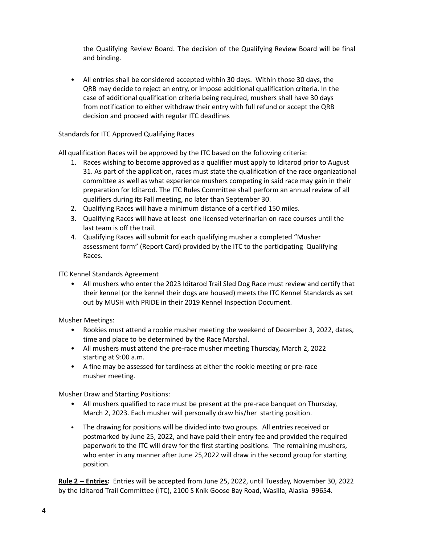the Qualifying Review Board. The decision of the Qualifying Review Board will be final and binding.

• All entries shall be considered accepted within 30 days. Within those 30 days, the QRB may decide to reject an entry, or impose additional qualification criteria. In the case of additional qualification criteria being required, mushers shall have 30 days from notification to either withdraw their entry with full refund or accept the QRB decision and proceed with regular ITC deadlines

### Standards for ITC Approved Qualifying Races

All qualification Races will be approved by the ITC based on the following criteria:

- 1. Races wishing to become approved as a qualifier must apply to Iditarod prior to August 31. As part of the application, races must state the qualification of the race organizational committee as well as what experience mushers competing in said race may gain in their preparation for Iditarod. The ITC Rules Committee shall perform an annual review of all qualifiers during its Fall meeting, no later than September 30.
- 2. Qualifying Races will have a minimum distance of a certified 150 miles.
- 3. Qualifying Races will have at least one licensed veterinarian on race courses until the last team is off the trail.
- 4. Qualifying Races will submit for each qualifying musher a completed "Musher assessment form" (Report Card) provided by the ITC to the participating Qualifying Races.

ITC Kennel Standards Agreement

• All mushers who enter the 2023 Iditarod Trail Sled Dog Race must review and certify that their kennel (or the kennel their dogs are housed) meets the ITC Kennel Standards as set out by MUSH with PRIDE in their 2019 Kennel Inspection Document.

Musher Meetings:

- Rookies must attend a rookie musher meeting the weekend of December 3, 2022, dates, time and place to be determined by the Race Marshal.
- All mushers must attend the pre-race musher meeting Thursday, March 2, 2022 starting at 9:00 a.m.
- A fine may be assessed for tardiness at either the rookie meeting or pre-race musher meeting.

Musher Draw and Starting Positions:

- All mushers qualified to race must be present at the pre-race banquet on Thursday, March 2, 2023. Each musher will personally draw his/her starting position.
- The drawing for positions will be divided into two groups. All entries received or postmarked by June 25, 2022, and have paid their entry fee and provided the required paperwork to the ITC will draw for the first starting positions. The remaining mushers, who enter in any manner after June 25,2022 will draw in the second group for starting position.

**Rule 2 -- Entries:** Entries will be accepted from June 25, 2022, until Tuesday, November 30, 2022 by the Iditarod Trail Committee (ITC), 2100 S Knik Goose Bay Road, Wasilla, Alaska 99654.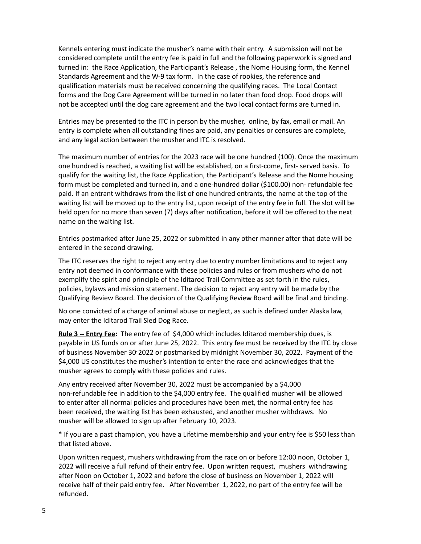Kennels entering must indicate the musher's name with their entry. A submission will not be considered complete until the entry fee is paid in full and the following paperwork is signed and turned in: the Race Application, the Participant's Release , the Nome Housing form, the Kennel Standards Agreement and the W-9 tax form. In the case of rookies, the reference and qualification materials must be received concerning the qualifying races. The Local Contact forms and the Dog Care Agreement will be turned in no later than food drop. Food drops will not be accepted until the dog care agreement and the two local contact forms are turned in.

Entries may be presented to the ITC in person by the musher, online, by fax, email or mail. An entry is complete when all outstanding fines are paid, any penalties or censures are complete, and any legal action between the musher and ITC is resolved.

The maximum number of entries for the 2023 race will be one hundred (100). Once the maximum one hundred is reached, a waiting list will be established, on a first-come, first- served basis. To qualify for the waiting list, the Race Application, the Participant's Release and the Nome housing form must be completed and turned in, and a one-hundred dollar (\$100.00) non- refundable fee paid. If an entrant withdraws from the list of one hundred entrants, the name at the top of the waiting list will be moved up to the entry list, upon receipt of the entry fee in full. The slot will be held open for no more than seven (7) days after notification, before it will be offered to the next name on the waiting list.

Entries postmarked after June 25, 2022 or submitted in any other manner after that date will be entered in the second drawing.

The ITC reserves the right to reject any entry due to entry number limitations and to reject any entry not deemed in conformance with these policies and rules or from mushers who do not exemplify the spirit and principle of the Iditarod Trail Committee as set forth in the rules, policies, bylaws and mission statement. The decision to reject any entry will be made by the Qualifying Review Board. The decision of the Qualifying Review Board will be final and binding.

No one convicted of a charge of animal abuse or neglect, as such is defined under Alaska law, may enter the Iditarod Trail Sled Dog Race.

**Rule 3 -- Entry Fee:** The entry fee of \$4,000 which includes Iditarod membership dues, is payable in US funds on or after June 25, 2022. This entry fee must be received by the ITC by close of business November 30<sup>,</sup> 2022 or postmarked by midnight November 30, 2022. Payment of the \$4,000 US constitutes the musher's intention to enter the race and acknowledges that the musher agrees to comply with these policies and rules.

Any entry received after November 30, 2022 must be accompanied by a \$4,000 non-refundable fee in addition to the \$4,000 entry fee. The qualified musher will be allowed to enter after all normal policies and procedures have been met, the normal entry fee has been received, the waiting list has been exhausted, and another musher withdraws. No musher will be allowed to sign up after February 10, 2023.

\* If you are a past champion, you have a Lifetime membership and your entry fee is \$50 less than that listed above.

Upon written request, mushers withdrawing from the race on or before 12:00 noon, October 1, 2022 will receive a full refund of their entry fee. Upon written request, mushers withdrawing after Noon on October 1, 2022 and before the close of business on November 1, 2022 will receive half of their paid entry fee. After November 1, 2022, no part of the entry fee will be refunded.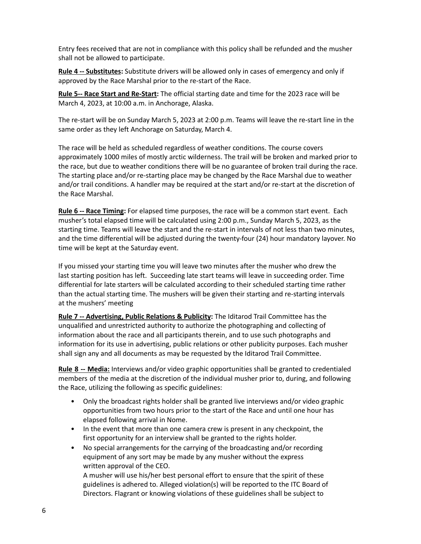Entry fees received that are not in compliance with this policy shall be refunded and the musher shall not be allowed to participate.

**Rule 4 -- Substitutes:** Substitute drivers will be allowed only in cases of emergency and only if approved by the Race Marshal prior to the re-start of the Race.

**Rule 5-- Race Start and Re-Start:** The official starting date and time for the 2023 race will be March 4, 2023, at 10:00 a.m. in Anchorage, Alaska.

The re-start will be on Sunday March 5, 2023 at 2:00 p.m. Teams will leave the re-start line in the same order as they left Anchorage on Saturday, March 4.

The race will be held as scheduled regardless of weather conditions. The course covers approximately 1000 miles of mostly arctic wilderness. The trail will be broken and marked prior to the race, but due to weather conditions there will be no guarantee of broken trail during the race. The starting place and/or re-starting place may be changed by the Race Marshal due to weather and/or trail conditions. A handler may be required at the start and/or re-start at the discretion of the Race Marshal.

**Rule 6 -- Race Timing:** For elapsed time purposes, the race will be a common start event. Each musher's total elapsed time will be calculated using 2:00 p.m., Sunday March 5, 2023, as the starting time. Teams will leave the start and the re-start in intervals of not less than two minutes, and the time differential will be adjusted during the twenty-four (24) hour mandatory layover. No time will be kept at the Saturday event.

If you missed your starting time you will leave two minutes after the musher who drew the last starting position has left. Succeeding late start teams will leave in succeeding order. Time differential for late starters will be calculated according to their scheduled starting time rather than the actual starting time. The mushers will be given their starting and re-starting intervals at the mushers' meeting

**Rule 7 -- Advertising, Public Relations & Publicity:** The Iditarod Trail Committee has the unqualified and unrestricted authority to authorize the photographing and collecting of information about the race and all participants therein, and to use such photographs and information for its use in advertising, public relations or other publicity purposes. Each musher shall sign any and all documents as may be requested by the Iditarod Trail Committee.

**Rule 8 -- Media:** Interviews and/or video graphic opportunities shall be granted to credentialed members of the media at the discretion of the individual musher prior to, during, and following the Race, utilizing the following as specific guidelines:

- Only the broadcast rights holder shall be granted live interviews and/or video graphic opportunities from two hours prior to the start of the Race and until one hour has elapsed following arrival in Nome.
- In the event that more than one camera crew is present in any checkpoint, the first opportunity for an interview shall be granted to the rights holder.
- No special arrangements for the carrying of the broadcasting and/or recording equipment of any sort may be made by any musher without the express written approval of the CEO.

A musher will use his/her best personal effort to ensure that the spirit of these guidelines is adhered to. Alleged violation(s) will be reported to the ITC Board of Directors. Flagrant or knowing violations of these guidelines shall be subject to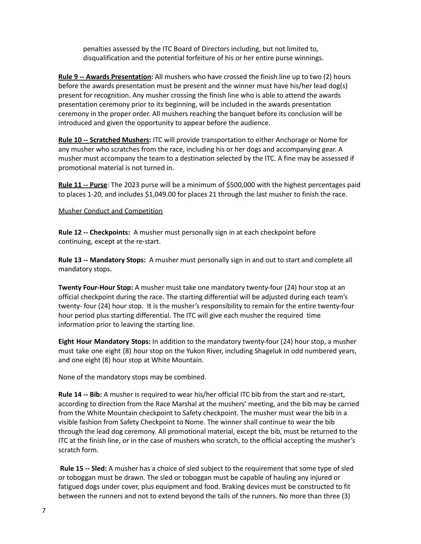penalties assessed by the ITC Board of Directors including, but not limited to, disqualification and the potential forfeiture of his or her entire purse winnings.

**Rule 9 -- Awards Presentation:** All mushers who have crossed the finish line up to two (2) hours before the awards presentation must be present and the winner must have his/her lead dog(s) present for recognition. Any musher crossing the finish line who is able to attend the awards presentation ceremony prior to its beginning, will be included in the awards presentation ceremony in the proper order. All mushers reaching the banquet before its conclusion will be introduced and given the opportunity to appear before the audience.

**Rule 10 -- Scratched Mushers:** ITC will provide transportation to either Anchorage or Nome for any musher who scratches from the race, including his or her dogs and accompanying gear. A musher must accompany the team to a destination selected by the ITC. A fine may be assessed if promotional material is not turned in.

**Rule 11 -- Purse**: The 2023 purse will be a minimum of \$500,000 with the highest percentages paid to places 1-20, and includes \$1,049.00 for places 21 through the last musher to finish the race.

### Musher Conduct and Competition

**Rule 12 -- Checkpoints:** A musher must personally sign in at each checkpoint before continuing, except at the re-start.

**Rule 13 -- Mandatory Stops:** A musher must personally sign in and out to start and complete all mandatory stops.

**Twenty Four-Hour Stop:** A musher must take one mandatory twenty-four (24) hour stop at an official checkpoint during the race. The starting differential will be adjusted during each team's twenty- four (24) hour stop. It is the musher's responsibility to remain for the entire twenty-four hour period plus starting differential. The ITC will give each musher the required time information prior to leaving the starting line.

**Eight Hour Mandatory Stops:** In addition to the mandatory twenty-four (24) hour stop, a musher must take one eight (8) hour stop on the Yukon River, including Shageluk in odd numbered years, and one eight (8) hour stop at White Mountain.

None of the mandatory stops may be combined.

**Rule 14 -- Bib:** A musher is required to wear his/her official ITC bib from the start and re-start, according to direction from the Race Marshal at the mushers' meeting, and the bib may be carried from the White Mountain checkpoint to Safety checkpoint. The musher must wear the bib in a visible fashion from Safety Checkpoint to Nome. The winner shall continue to wear the bib through the lead dog ceremony. All promotional material, except the bib, must be returned to the ITC at the finish line, or in the case of mushers who scratch, to the official accepting the musher's scratch form.

**Rule 15 -- Sled:** A musher has a choice of sled subject to the requirement that some type of sled or toboggan must be drawn. The sled or toboggan must be capable of hauling any injured or fatigued dogs under cover, plus equipment and food. Braking devices must be constructed to fit between the runners and not to extend beyond the tails of the runners. No more than three (3)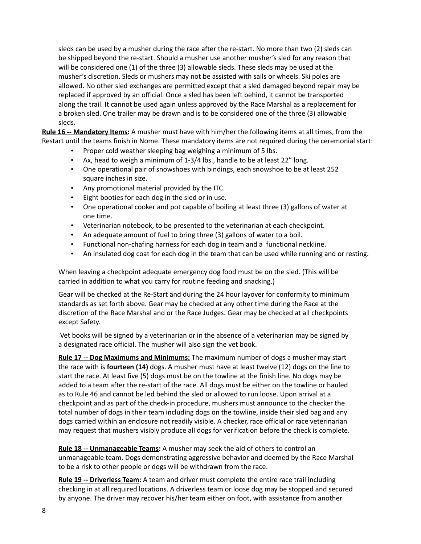sleds can be used by a musher during the race after the re-start. No more than two (2) sleds can be shipped beyond the re-start. Should a musher use another musher's sled for any reason that will be considered one (1) of the three (3) allowable sleds. These sleds may be used at the musher's discretion. Sleds or mushers may not be assisted with sails or wheels. Ski poles are allowed. No other sled exchanges are permitted except that a sled damaged beyond repair may be replaced if approved by an official. Once a sled has been left behind, it cannot be transported along the trail. It cannot be used again unless approved by the Race Marshal as a replacement for a broken sled. One trailer may be drawn and is to be considered one of the three (3) allowable sleds.

**Rule 16 -- Mandatory Items:** A musher must have with him/her the following items at all times, from the Restart until the teams finish in Nome. These mandatory items are not required during the ceremonial start:

- Proper cold weather sleeping bag weighing a minimum of 5 lbs.
- Ax, head to weigh a minimum of 1-3/4 lbs., handle to be at least 22" long.
- One operational pair of snowshoes with bindings, each snowshoe to be at least 252 square inches in size.
- Any promotional material provided by the ITC.
- Eight booties for each dog in the sled or in use.
- One operational cooker and pot capable of boiling at least three (3) gallons of water at one time.
- Veterinarian notebook, to be presented to the veterinarian at each checkpoint.
- An adequate amount of fuel to bring three (3) gallons of water to a boil.
- Functional non-chafing harness for each dog in team and a functional neckline.
- An insulated dog coat for each dog in the team that can be used while running and or resting.

When leaving a checkpoint adequate emergency dog food must be on the sled. (This will be carried in addition to what you carry for routine feeding and snacking.)

Gear will be checked at the Re-Start and during the 24 hour layover for conformity to minimum standards as set forth above. Gear may be checked at any other time during the Race at the discretion of the Race Marshal and or the Race Judges. Gear may be checked at all checkpoints except Safety.

Vet books will be signed by a veterinarian or in the absence of a veterinarian may be signed by a designated race official. The musher will also sign the vet book.

**Rule 17 -- Dog Maximums and Minimums:** The maximum number of dogs a musher may start the race with is **fourteen (14)** dogs. A musher must have at least twelve (12) dogs on the line to start the race. At least five (5) dogs must be on the towline at the finish line. No dogs may be added to a team after the re-start of the race. All dogs must be either on the towline or hauled as to Rule 46 and cannot be led behind the sled or allowed to run loose. Upon arrival at a checkpoint and as part of the check-in procedure, mushers must announce to the checker the total number of dogs in their team including dogs on the towline, inside their sled bag and any dogs carried within an enclosure not readily visible. A checker, race official or race veterinarian may request that mushers visibly produce all dogs for verification before the check is complete.

**Rule 18 -- Unmanageable Teams:** A musher may seek the aid of others to control an unmanageable team. Dogs demonstrating aggressive behavior and deemed by the Race Marshal to be a risk to other people or dogs will be withdrawn from the race.

**Rule 19 -- Driverless Team:** A team and driver must complete the entire race trail including checking in at all required locations. A driverless team or loose dog may be stopped and secured by anyone. The driver may recover his/her team either on foot, with assistance from another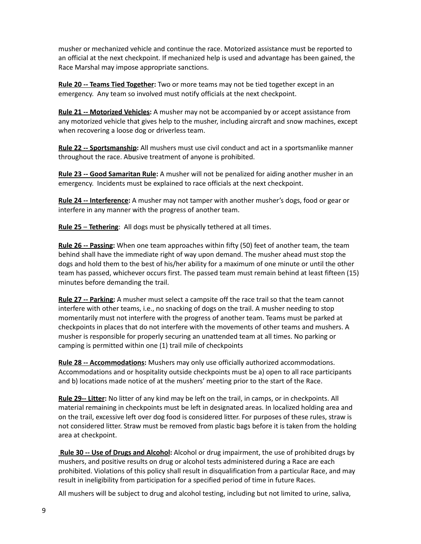musher or mechanized vehicle and continue the race. Motorized assistance must be reported to an official at the next checkpoint. If mechanized help is used and advantage has been gained, the Race Marshal may impose appropriate sanctions.

**Rule 20 -- Teams Tied Together:** Two or more teams may not be tied together except in an emergency. Any team so involved must notify officials at the next checkpoint.

**Rule 21 -- Motorized Vehicles:** A musher may not be accompanied by or accept assistance from any motorized vehicle that gives help to the musher, including aircraft and snow machines, except when recovering a loose dog or driverless team.

**Rule 22 -- Sportsmanship:** All mushers must use civil conduct and act in a sportsmanlike manner throughout the race. Abusive treatment of anyone is prohibited.

**Rule 23 -- Good Samaritan Rule:** A musher will not be penalized for aiding another musher in an emergency. Incidents must be explained to race officials at the next checkpoint.

**Rule 24 -- Interference:** A musher may not tamper with another musher's dogs, food or gear or interfere in any manner with the progress of another team.

**Rule 25** – **Tethering**: All dogs must be physically tethered at all times.

**Rule 26 -- Passing:** When one team approaches within fifty (50) feet of another team, the team behind shall have the immediate right of way upon demand. The musher ahead must stop the dogs and hold them to the best of his/her ability for a maximum of one minute or until the other team has passed, whichever occurs first. The passed team must remain behind at least fifteen (15) minutes before demanding the trail.

**Rule 27 -- Parking:** A musher must select a campsite off the race trail so that the team cannot interfere with other teams, i.e., no snacking of dogs on the trail. A musher needing to stop momentarily must not interfere with the progress of another team. Teams must be parked at checkpoints in places that do not interfere with the movements of other teams and mushers. A musher is responsible for properly securing an unattended team at all times. No parking or camping is permitted within one (1) trail mile of checkpoints

**Rule 28 -- Accommodations:** Mushers may only use officially authorized accommodations. Accommodations and or hospitality outside checkpoints must be a) open to all race participants and b) locations made notice of at the mushers' meeting prior to the start of the Race.

**Rule 29-- Litter:** No litter of any kind may be left on the trail, in camps, or in checkpoints. All material remaining in checkpoints must be left in designated areas. In localized holding area and on the trail, excessive left over dog food is considered litter. For purposes of these rules, straw is not considered litter. Straw must be removed from plastic bags before it is taken from the holding area at checkpoint.

**Rule 30 -- Use of Drugs and Alcohol:** Alcohol or drug impairment, the use of prohibited drugs by mushers, and positive results on drug or alcohol tests administered during a Race are each prohibited. Violations of this policy shall result in disqualification from a particular Race, and may result in ineligibility from participation for a specified period of time in future Races.

All mushers will be subject to drug and alcohol testing, including but not limited to urine, saliva,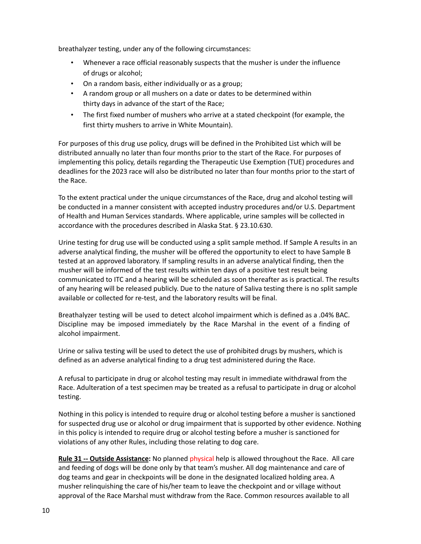breathalyzer testing, under any of the following circumstances:

- Whenever a race official reasonably suspects that the musher is under the influence of drugs or alcohol;
- On a random basis, either individually or as a group;
- A random group or all mushers on a date or dates to be determined within thirty days in advance of the start of the Race;
- The first fixed number of mushers who arrive at a stated checkpoint (for example, the first thirty mushers to arrive in White Mountain).

For purposes of this drug use policy, drugs will be defined in the Prohibited List which will be distributed annually no later than four months prior to the start of the Race. For purposes of implementing this policy, details regarding the Therapeutic Use Exemption (TUE) procedures and deadlines for the 2023 race will also be distributed no later than four months prior to the start of the Race.

To the extent practical under the unique circumstances of the Race, drug and alcohol testing will be conducted in a manner consistent with accepted industry procedures and/or U.S. Department of Health and Human Services standards. Where applicable, urine samples will be collected in accordance with the procedures described in Alaska Stat. § 23.10.630.

Urine testing for drug use will be conducted using a split sample method. If Sample A results in an adverse analytical finding, the musher will be offered the opportunity to elect to have Sample B tested at an approved laboratory. If sampling results in an adverse analytical finding, then the musher will be informed of the test results within ten days of a positive test result being communicated to ITC and a hearing will be scheduled as soon thereafter as is practical. The results of any hearing will be released publicly. Due to the nature of Saliva testing there is no split sample available or collected for re-test, and the laboratory results will be final.

Breathalyzer testing will be used to detect alcohol impairment which is defined as a .04% BAC. Discipline may be imposed immediately by the Race Marshal in the event of a finding of alcohol impairment.

Urine or saliva testing will be used to detect the use of prohibited drugs by mushers, which is defined as an adverse analytical finding to a drug test administered during the Race.

A refusal to participate in drug or alcohol testing may result in immediate withdrawal from the Race. Adulteration of a test specimen may be treated as a refusal to participate in drug or alcohol testing.

Nothing in this policy is intended to require drug or alcohol testing before a musher is sanctioned for suspected drug use or alcohol or drug impairment that is supported by other evidence. Nothing in this policy is intended to require drug or alcohol testing before a musher is sanctioned for violations of any other Rules, including those relating to dog care.

**Rule 31 -- Outside Assistance:** No planned physical help is allowed throughout the Race. All care and feeding of dogs will be done only by that team's musher. All dog maintenance and care of dog teams and gear in checkpoints will be done in the designated localized holding area. A musher relinquishing the care of his/her team to leave the checkpoint and or village without approval of the Race Marshal must withdraw from the Race. Common resources available to all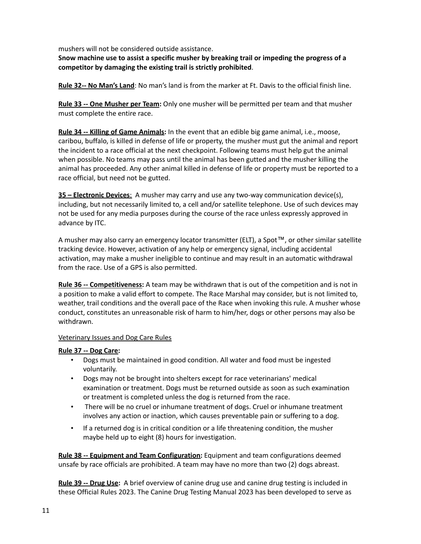mushers will not be considered outside assistance.

**Snow machine use to assist a specific musher by breaking trail or impeding the progress of a competitor by damaging the existing trail is strictly prohibited**.

**Rule 32-- No Man's Land**: No man's land is from the marker at Ft. Davis to the official finish line.

**Rule 33 -- One Musher per Team:** Only one musher will be permitted per team and that musher must complete the entire race.

**Rule 34 -- Killing of Game Animals:** In the event that an edible big game animal, i.e., moose, caribou, buffalo, is killed in defense of life or property, the musher must gut the animal and report the incident to a race official at the next checkpoint. Following teams must help gut the animal when possible. No teams may pass until the animal has been gutted and the musher killing the animal has proceeded. Any other animal killed in defense of life or property must be reported to a race official, but need not be gutted.

**35 – Electronic Devices**: A musher may carry and use any two-way communication device(s), including, but not necessarily limited to, a cell and/or satellite telephone. Use of such devices may not be used for any media purposes during the course of the race unless expressly approved in advance by ITC.

A musher may also carry an emergency locator transmitter (ELT), a Spot™, or other similar satellite tracking device. However, activation of any help or emergency signal, including accidental activation, may make a musher ineligible to continue and may result in an automatic withdrawal from the race. Use of a GPS is also permitted.

**Rule 36 -- Competitiveness:** A team may be withdrawn that is out of the competition and is not in a position to make a valid effort to compete. The Race Marshal may consider, but is not limited to, weather, trail conditions and the overall pace of the Race when invoking this rule. A musher whose conduct, constitutes an unreasonable risk of harm to him/her, dogs or other persons may also be withdrawn.

### Veterinary Issues and Dog Care Rules

### **Rule 37 -- Dog Care:**

- Dogs must be maintained in good condition. All water and food must be ingested voluntarily.
- Dogs may not be brought into shelters except for race veterinarians' medical examination or treatment. Dogs must be returned outside as soon as such examination or treatment is completed unless the dog is returned from the race.
- There will be no cruel or inhumane treatment of dogs. Cruel or inhumane treatment involves any action or inaction, which causes preventable pain or suffering to a dog.
- If a returned dog is in critical condition or a life threatening condition, the musher maybe held up to eight (8) hours for investigation.

**Rule 38 -- Equipment and Team Configuration:** Equipment and team configurations deemed unsafe by race officials are prohibited. A team may have no more than two (2) dogs abreast.

**Rule 39 -- Drug Use:** A brief overview of canine drug use and canine drug testing is included in these Official Rules 2023. The Canine Drug Testing Manual 2023 has been developed to serve as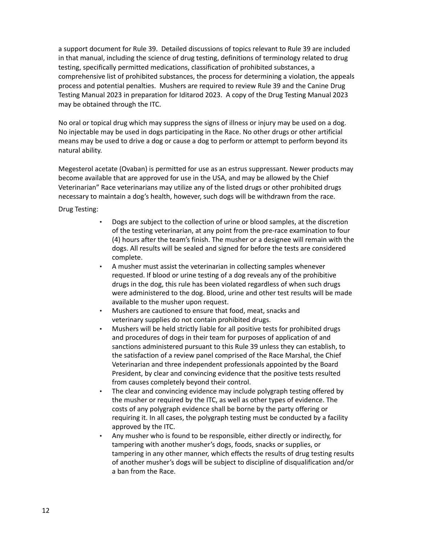a support document for Rule 39. Detailed discussions of topics relevant to Rule 39 are included in that manual, including the science of drug testing, definitions of terminology related to drug testing, specifically permitted medications, classification of prohibited substances, a comprehensive list of prohibited substances, the process for determining a violation, the appeals process and potential penalties. Mushers are required to review Rule 39 and the Canine Drug Testing Manual 2023 in preparation for Iditarod 2023. A copy of the Drug Testing Manual 2023 may be obtained through the ITC.

No oral or topical drug which may suppress the signs of illness or injury may be used on a dog. No injectable may be used in dogs participating in the Race. No other drugs or other artificial means may be used to drive a dog or cause a dog to perform or attempt to perform beyond its natural ability.

Megesterol acetate (Ovaban) is permitted for use as an estrus suppressant. Newer products may become available that are approved for use in the USA, and may be allowed by the Chief Veterinarian" Race veterinarians may utilize any of the listed drugs or other prohibited drugs necessary to maintain a dog's health, however, such dogs will be withdrawn from the race.

Drug Testing:

- Dogs are subject to the collection of urine or blood samples, at the discretion of the testing veterinarian, at any point from the pre-race examination to four (4) hours after the team's finish. The musher or a designee will remain with the dogs. All results will be sealed and signed for before the tests are considered complete.
- A musher must assist the veterinarian in collecting samples whenever requested. If blood or urine testing of a dog reveals any of the prohibitive drugs in the dog, this rule has been violated regardless of when such drugs were administered to the dog. Blood, urine and other test results will be made available to the musher upon request.
- Mushers are cautioned to ensure that food, meat, snacks and veterinary supplies do not contain prohibited drugs.
- Mushers will be held strictly liable for all positive tests for prohibited drugs and procedures of dogs in their team for purposes of application of and sanctions administered pursuant to this Rule 39 unless they can establish, to the satisfaction of a review panel comprised of the Race Marshal, the Chief Veterinarian and three independent professionals appointed by the Board President, by clear and convincing evidence that the positive tests resulted from causes completely beyond their control.
- The clear and convincing evidence may include polygraph testing offered by the musher or required by the ITC, as well as other types of evidence. The costs of any polygraph evidence shall be borne by the party offering or requiring it. In all cases, the polygraph testing must be conducted by a facility approved by the ITC.
- Any musher who is found to be responsible, either directly or indirectly, for tampering with another musher's dogs, foods, snacks or supplies, or tampering in any other manner, which effects the results of drug testing results of another musher's dogs will be subject to discipline of disqualification and/or a ban from the Race.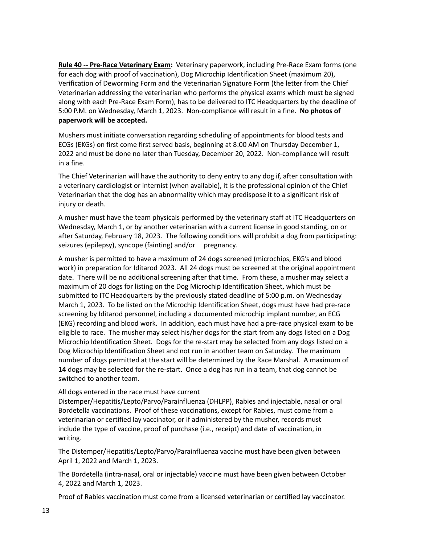**Rule 40 -- Pre-Race Veterinary Exam:** Veterinary paperwork, including Pre-Race Exam forms (one for each dog with proof of vaccination), Dog Microchip Identification Sheet (maximum 20), Verification of Deworming Form and the Veterinarian Signature Form (the letter from the Chief Veterinarian addressing the veterinarian who performs the physical exams which must be signed along with each Pre-Race Exam Form), has to be delivered to ITC Headquarters by the deadline of 5:00 P.M. on Wednesday, March 1, 2023. Non-compliance will result in a fine. **No photos of paperwork will be accepted.**

Mushers must initiate conversation regarding scheduling of appointments for blood tests and ECGs (EKGs) on first come first served basis, beginning at 8:00 AM on Thursday December 1, 2022 and must be done no later than Tuesday, December 20, 2022. Non-compliance will result in a fine.

The Chief Veterinarian will have the authority to deny entry to any dog if, after consultation with a veterinary cardiologist or internist (when available), it is the professional opinion of the Chief Veterinarian that the dog has an abnormality which may predispose it to a significant risk of injury or death.

A musher must have the team physicals performed by the veterinary staff at ITC Headquarters on Wednesday, March 1, or by another veterinarian with a current license in good standing, on or after Saturday, February 18, 2023. The following conditions will prohibit a dog from participating: seizures (epilepsy), syncope (fainting) and/or pregnancy.

A musher is permitted to have a maximum of 24 dogs screened (microchips, EKG's and blood work) in preparation for Iditarod 2023. All 24 dogs must be screened at the original appointment date. There will be no additional screening after that time. From these, a musher may select a maximum of 20 dogs for listing on the Dog Microchip Identification Sheet, which must be submitted to ITC Headquarters by the previously stated deadline of 5:00 p.m. on Wednesday March 1, 2023. To be listed on the Microchip Identification Sheet, dogs must have had pre-race screening by Iditarod personnel, including a documented microchip implant number, an ECG (EKG) recording and blood work. In addition, each must have had a pre-race physical exam to be eligible to race. The musher may select his/her dogs for the start from any dogs listed on a Dog Microchip Identification Sheet. Dogs for the re-start may be selected from any dogs listed on a Dog Microchip Identification Sheet and not run in another team on Saturday. The maximum number of dogs permitted at the start will be determined by the Race Marshal. A maximum of **14** dogs may be selected for the re-start. Once a dog has run in a team, that dog cannot be switched to another team.

### All dogs entered in the race must have current

Distemper/Hepatitis/Lepto/Parvo/Parainfluenza (DHLPP), Rabies and injectable, nasal or oral Bordetella vaccinations. Proof of these vaccinations, except for Rabies, must come from a veterinarian or certified lay vaccinator, or if administered by the musher, records must include the type of vaccine, proof of purchase (i.e., receipt) and date of vaccination, in writing.

The Distemper/Hepatitis/Lepto/Parvo/Parainfluenza vaccine must have been given between April 1, 2022 and March 1, 2023.

The Bordetella (intra-nasal, oral or injectable) vaccine must have been given between October 4, 2022 and March 1, 2023.

Proof of Rabies vaccination must come from a licensed veterinarian or certified lay vaccinator.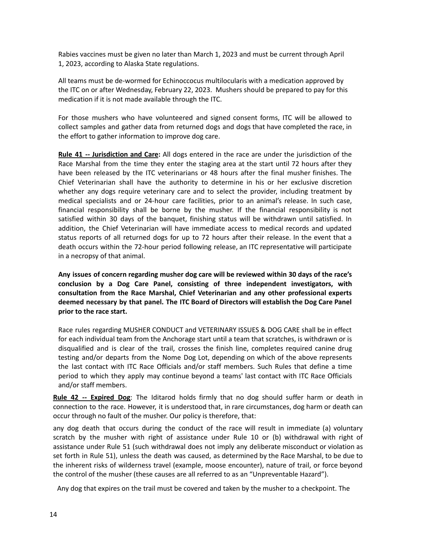Rabies vaccines must be given no later than March 1, 2023 and must be current through April 1, 2023, according to Alaska State regulations.

All teams must be de-wormed for Echinoccocus multilocularis with a medication approved by the ITC on or after Wednesday, February 22, 2023. Mushers should be prepared to pay for this medication if it is not made available through the ITC.

For those mushers who have volunteered and signed consent forms, ITC will be allowed to collect samples and gather data from returned dogs and dogs that have completed the race, in the effort to gather information to improve dog care.

**Rule 41 -- Jurisdiction and Care:** All dogs entered in the race are under the jurisdiction of the Race Marshal from the time they enter the staging area at the start until 72 hours after they have been released by the ITC veterinarians or 48 hours after the final musher finishes. The Chief Veterinarian shall have the authority to determine in his or her exclusive discretion whether any dogs require veterinary care and to select the provider, including treatment by medical specialists and or 24-hour care facilities, prior to an animal's release. In such case, financial responsibility shall be borne by the musher. If the financial responsibility is not satisfied within 30 days of the banquet, finishing status will be withdrawn until satisfied. In addition, the Chief Veterinarian will have immediate access to medical records and updated status reports of all returned dogs for up to 72 hours after their release. In the event that a death occurs within the 72-hour period following release, an ITC representative will participate in a necropsy of that animal.

**Any issues of concern regarding musher dog care will be reviewed within 30 days of the race's conclusion by a Dog Care Panel, consisting of three independent investigators, with consultation from the Race Marshal, Chief Veterinarian and any other professional experts deemed necessary by that panel. The ITC Board of Directors will establish the Dog Care Panel prior to the race start.**

Race rules regarding MUSHER CONDUCT and VETERINARY ISSUES & DOG CARE shall be in effect for each individual team from the Anchorage start until a team that scratches, is withdrawn or is disqualified and is clear of the trail, crosses the finish line, completes required canine drug testing and/or departs from the Nome Dog Lot, depending on which of the above represents the last contact with ITC Race Officials and/or staff members. Such Rules that define a time period to which they apply may continue beyond a teams' last contact with ITC Race Officials and/or staff members.

**Rule 42 -- Expired Dog**: The Iditarod holds firmly that no dog should suffer harm or death in connection to the race. However, it is understood that, in rare circumstances, dog harm or death can occur through no fault of the musher. Our policy is therefore, that:

any dog death that occurs during the conduct of the race will result in immediate (a) voluntary scratch by the musher with right of assistance under Rule 10 or (b) withdrawal with right of assistance under Rule 51 (such withdrawal does not imply any deliberate misconduct or violation as set forth in Rule 51), unless the death was caused, as determined by the Race Marshal, to be due to the inherent risks of wilderness travel (example, moose encounter), nature of trail, or force beyond the control of the musher (these causes are all referred to as an "Unpreventable Hazard").

Any dog that expires on the trail must be covered and taken by the musher to a checkpoint. The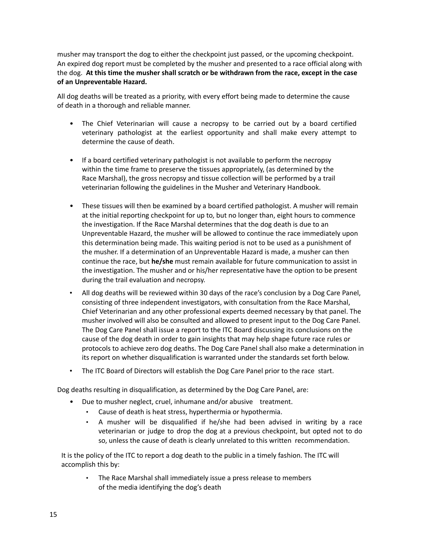musher may transport the dog to either the checkpoint just passed, or the upcoming checkpoint. An expired dog report must be completed by the musher and presented to a race official along with the dog. **At this time the musher shall scratch or be withdrawn from the race, except in the case of an Unpreventable Hazard.**

All dog deaths will be treated as a priority, with every effort being made to determine the cause of death in a thorough and reliable manner.

- The Chief Veterinarian will cause a necropsy to be carried out by a board certified veterinary pathologist at the earliest opportunity and shall make every attempt to determine the cause of death.
- If a board certified veterinary pathologist is not available to perform the necropsy within the time frame to preserve the tissues appropriately, (as determined by the Race Marshal), the gross necropsy and tissue collection will be performed by a trail veterinarian following the guidelines in the Musher and Veterinary Handbook.
- These tissues will then be examined by a board certified pathologist. A musher will remain at the initial reporting checkpoint for up to, but no longer than, eight hours to commence the investigation. If the Race Marshal determines that the dog death is due to an Unpreventable Hazard, the musher will be allowed to continue the race immediately upon this determination being made. This waiting period is not to be used as a punishment of the musher. If a determination of an Unpreventable Hazard is made, a musher can then continue the race, but **he/she** must remain available for future communication to assist in the investigation. The musher and or his/her representative have the option to be present during the trail evaluation and necropsy.
- All dog deaths will be reviewed within 30 days of the race's conclusion by a Dog Care Panel, consisting of three independent investigators, with consultation from the Race Marshal, Chief Veterinarian and any other professional experts deemed necessary by that panel. The musher involved will also be consulted and allowed to present input to the Dog Care Panel. The Dog Care Panel shall issue a report to the ITC Board discussing its conclusions on the cause of the dog death in order to gain insights that may help shape future race rules or protocols to achieve zero dog deaths. The Dog Care Panel shall also make a determination in its report on whether disqualification is warranted under the standards set forth below.
- The ITC Board of Directors will establish the Dog Care Panel prior to the race start.

Dog deaths resulting in disqualification, as determined by the Dog Care Panel, are:

- Due to musher neglect, cruel, inhumane and/or abusive treatment.
	- Cause of death is heat stress, hyperthermia or hypothermia.
	- A musher will be disqualified if he/she had been advised in writing by a race veterinarian or judge to drop the dog at a previous checkpoint, but opted not to do so, unless the cause of death is clearly unrelated to this written recommendation.

It is the policy of the ITC to report a dog death to the public in a timely fashion. The ITC will accomplish this by:

• The Race Marshal shall immediately issue a press release to members of the media identifying the dog's death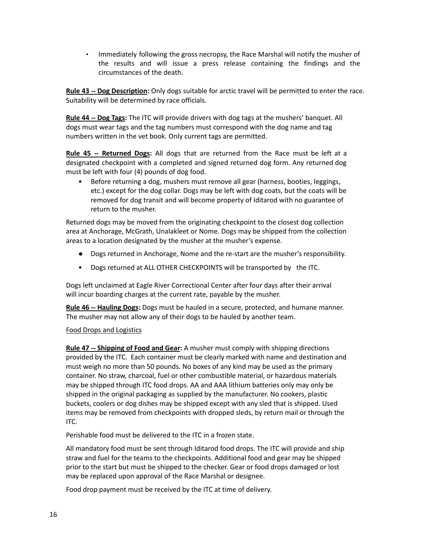• Immediately following the gross necropsy, the Race Marshal will notify the musher of the results and will issue a press release containing the findings and the circumstances of the death.

**Rule 43 -- Dog Description:** Only dogs suitable for arctic travel will be permitted to enter the race. Suitability will be determined by race officials.

**Rule 44 -- Dog Tags:** The ITC will provide drivers with dog tags at the mushers' banquet. All dogs must wear tags and the tag numbers must correspond with the dog name and tag numbers written in the vet book. Only current tags are permitted.

**Rule 45 -- Returned Dogs:** All dogs that are returned from the Race must be left at a designated checkpoint with a completed and signed returned dog form. Any returned dog must be left with four (4) pounds of dog food.

• Before returning a dog, mushers must remove all gear (harness, booties, leggings, etc.) except for the dog collar. Dogs may be left with dog coats, but the coats will be removed for dog transit and will become property of Iditarod with no guarantee of return to the musher.

Returned dogs may be moved from the originating checkpoint to the closest dog collection area at Anchorage, McGrath, Unalakleet or Nome. Dogs may be shipped from the collection areas to a location designated by the musher at the musher's expense.

- Dogs returned in Anchorage, Nome and the re-start are the musher's responsibility.
- Dogs returned at ALL OTHER CHECKPOINTS will be transported by the ITC.

Dogs left unclaimed at Eagle River Correctional Center after four days after their arrival will incur boarding charges at the current rate, payable by the musher.

**Rule 46 -- Hauling Dogs:** Dogs must be hauled in a secure, protected, and humane manner. The musher may not allow any of their dogs to be hauled by another team.

### Food Drops and Logistics

**Rule 47 -- Shipping of Food and Gear:** A musher must comply with shipping directions provided by the ITC. Each container must be clearly marked with name and destination and must weigh no more than 50 pounds. No boxes of any kind may be used as the primary container. No straw, charcoal, fuel or other combustible material, or hazardous materials may be shipped through ITC food drops. AA and AAA lithium batteries only may only be shipped in the original packaging as supplied by the manufacturer. No cookers, plastic buckets, coolers or dog dishes may be shipped except with any sled that is shipped. Used items may be removed from checkpoints with dropped sleds, by return mail or through the ITC.

Perishable food must be delivered to the ITC in a frozen state.

All mandatory food must be sent through Iditarod food drops. The ITC will provide and ship straw and fuel for the teams to the checkpoints. Additional food and gear may be shipped prior to the start but must be shipped to the checker. Gear or food drops damaged or lost may be replaced upon approval of the Race Marshal or designee.

Food drop payment must be received by the ITC at time of delivery.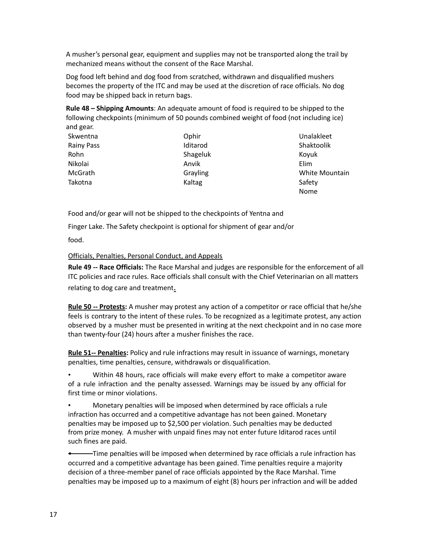A musher's personal gear, equipment and supplies may not be transported along the trail by mechanized means without the consent of the Race Marshal.

Dog food left behind and dog food from scratched, withdrawn and disqualified mushers becomes the property of the ITC and may be used at the discretion of race officials. No dog food may be shipped back in return bags.

**Rule 48 – Shipping Amounts**: An adequate amount of food is required to be shipped to the following checkpoints (minimum of 50 pounds combined weight of food (not including ice) and gear.

| Skwentna          | Ophir    | Unalakleet     |
|-------------------|----------|----------------|
| <b>Rainy Pass</b> | Iditarod | Shaktoolik     |
| Rohn              | Shageluk | Koyuk          |
| Nikolai           | Anvik    | Elim           |
| McGrath           | Grayling | White Mountain |
| Takotna           | Kaltag   | Safety         |
|                   |          | <b>Nome</b>    |

Food and/or gear will not be shipped to the checkpoints of Yentna and

Finger Lake. The Safety checkpoint is optional for shipment of gear and/or

food.

Officials, Penalties, Personal Conduct, and Appeals

**Rule 49 -- Race Officials:** The Race Marshal and judges are responsible for the enforcement of all ITC policies and race rules. Race officials shall consult with the Chief Veterinarian on all matters relating to dog care and treatment.

**Rule 50 -- Protests:** A musher may protest any action of a competitor or race official that he/she feels is contrary to the intent of these rules. To be recognized as a legitimate protest, any action observed by a musher must be presented in writing at the next checkpoint and in no case more than twenty-four (24) hours after a musher finishes the race.

**Rule 51-- Penalties:** Policy and rule infractions may result in issuance of warnings, monetary penalties, time penalties, censure, withdrawals or disqualification.

• Within 48 hours, race officials will make every effort to make a competitor aware of a rule infraction and the penalty assessed. Warnings may be issued by any official for first time or minor violations.

• Monetary penalties will be imposed when determined by race officials a rule infraction has occurred and a competitive advantage has not been gained. Monetary penalties may be imposed up to \$2,500 per violation. Such penalties may be deducted from prize money. A musher with unpaid fines may not enter future Iditarod races until such fines are paid.

• Time penalties will be imposed when determined by race officials a rule infraction has occurred and a competitive advantage has been gained. Time penalties require a majority decision of a three-member panel of race officials appointed by the Race Marshal. Time penalties may be imposed up to a maximum of eight (8) hours per infraction and will be added